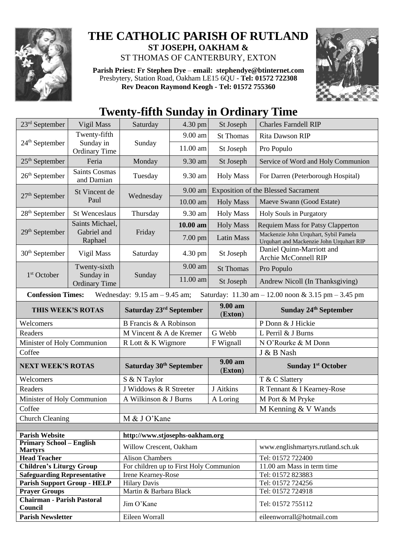

## **THE CATHOLIC PARISH OF RUTLAND ST JOSEPH, OAKHAM &**  ST THOMAS OF CANTERBURY, EXTON

**Parish Priest: Fr Stephen Dye** – **[email: stephendye@btinternet.com](mailto:email:%20%20stephendye@btinternet.com)** Presbytery, Station Road, Oakham LE15 6QU - **Tel: 01572 722308 Rev Deacon Raymond Keogh - Tel: 01572 755360**



## **Twenty-fifth Sunday in Ordinary Time**

| $23rd$ September                                                                                                    | Vigil Mass                                        | Saturday                                | 4.30 pm  | St Joseph                                  | <b>Charles Farndell RIP</b>                                                       |  |
|---------------------------------------------------------------------------------------------------------------------|---------------------------------------------------|-----------------------------------------|----------|--------------------------------------------|-----------------------------------------------------------------------------------|--|
| $24th$ September                                                                                                    | Twenty-fifth<br>Sunday in<br><b>Ordinary Time</b> | Sunday                                  | 9.00 am  | <b>St Thomas</b>                           | Rita Dawson RIP                                                                   |  |
|                                                                                                                     |                                                   |                                         | 11.00 am | St Joseph                                  | Pro Populo                                                                        |  |
| $25th$ September                                                                                                    | Feria                                             | Monday                                  | 9.30 am  | St Joseph                                  | Service of Word and Holy Communion                                                |  |
| $26th$ September                                                                                                    | <b>Saints Cosmas</b><br>and Damian                | Tuesday                                 | 9.30 am  | <b>Holy Mass</b>                           | For Darren (Peterborough Hospital)                                                |  |
| $27th$ September                                                                                                    | St Vincent de<br>Paul                             | Wednesday                               | 9.00 am  | <b>Exposition of the Blessed Sacrament</b> |                                                                                   |  |
|                                                                                                                     |                                                   |                                         | 10.00 am | <b>Holy Mass</b>                           | Maeve Swann (Good Estate)                                                         |  |
| 28 <sup>th</sup> September                                                                                          | <b>St Wenceslaus</b>                              | Thursday                                | 9.30 am  | <b>Holy Mass</b>                           | Holy Souls in Purgatory                                                           |  |
| 29 <sup>th</sup> September                                                                                          | Saints Michael,<br>Gabriel and<br>Raphael         | Friday                                  | 10.00 am | <b>Holy Mass</b>                           | <b>Requiem Mass for Patsy Clapperton</b>                                          |  |
|                                                                                                                     |                                                   |                                         | 7.00 pm  | Latin Mass                                 | Mackenzie John Urquhart, Sybil Pamela<br>Urquhart and Mackenzie John Urquhart RIP |  |
| $30th$ September                                                                                                    | Vigil Mass                                        | Saturday                                | 4.30 pm  | St Joseph                                  | Daniel Quinn-Marriott and<br>Archie McConnell RIP                                 |  |
|                                                                                                                     | Twenty-sixth<br>Sunday in<br><b>Ordinary Time</b> | Sunday                                  | 9.00 am  | <b>St Thomas</b>                           | Pro Populo                                                                        |  |
| 1 <sup>st</sup> October                                                                                             |                                                   |                                         | 11.00 am | St Joseph                                  | Andrew Nicoll (In Thanksgiving)                                                   |  |
| <b>Confession Times:</b><br>Wednesday: $9.15$ am $-9.45$ am;<br>Saturday: 11.30 am - 12.00 noon & 3.15 pm - 3.45 pm |                                                   |                                         |          |                                            |                                                                                   |  |
| THIS WEEK'S ROTAS                                                                                                   |                                                   | Saturday 23 <sup>rd</sup> September     |          | 9.00 am<br>(Exton)                         | Sunday 24 <sup>th</sup> September                                                 |  |
| Welcomers                                                                                                           |                                                   |                                         |          |                                            |                                                                                   |  |
|                                                                                                                     |                                                   | B Francis & A Robinson                  |          |                                            | P Donn & J Hickie                                                                 |  |
| Readers                                                                                                             |                                                   | M Vincent & A de Kremer                 |          | G Webb                                     | L Perril & J Burns                                                                |  |
| Minister of Holy Communion                                                                                          |                                                   | R Lott & K Wigmore                      |          | F Wignall                                  | N O'Rourke & M Donn                                                               |  |
| Coffee                                                                                                              |                                                   |                                         |          |                                            | J & B Nash                                                                        |  |
| <b>NEXT WEEK'S ROTAS</b>                                                                                            |                                                   | Saturday 30 <sup>th</sup> September     |          | 9.00 am<br>(Exton)                         | <b>Sunday 1st October</b>                                                         |  |
| Welcomers                                                                                                           |                                                   | S & N Taylor                            |          |                                            | T & C Slattery                                                                    |  |
| Readers                                                                                                             |                                                   | J Widdows & R Streeter                  |          | J Aitkins                                  | R Tennant & I Kearney-Rose                                                        |  |
| Minister of Holy Communion                                                                                          |                                                   | A Wilkinson & J Burns                   |          | A Loring                                   | M Port & M Pryke                                                                  |  |
| Coffee                                                                                                              |                                                   |                                         |          |                                            | M Kenning & V Wands                                                               |  |
| <b>Church Cleaning</b>                                                                                              |                                                   | M & J O'Kane                            |          |                                            |                                                                                   |  |
|                                                                                                                     |                                                   |                                         |          |                                            |                                                                                   |  |
| <b>Parish Website</b>                                                                                               |                                                   | http://www.stjosephs-oakham.org         |          |                                            |                                                                                   |  |
| <b>Primary School – English</b><br><b>Martyrs</b>                                                                   |                                                   | Willow Crescent, Oakham                 |          |                                            | www.englishmartyrs.rutland.sch.uk                                                 |  |
| <b>Head Teacher</b>                                                                                                 |                                                   | <b>Alison Chambers</b>                  |          |                                            | Tel: 01572 722400                                                                 |  |
| <b>Children's Liturgy Group</b>                                                                                     |                                                   | For children up to First Holy Communion |          |                                            | 11.00 am Mass in term time                                                        |  |
| <b>Safeguarding Representative</b>                                                                                  |                                                   | Irene Kearney-Rose                      |          |                                            | Tel: 01572 823883                                                                 |  |
| <b>Parish Support Group - HELP</b>                                                                                  |                                                   | <b>Hilary Davis</b>                     |          |                                            | Tel: 01572 724256                                                                 |  |
| <b>Prayer Groups</b>                                                                                                |                                                   | Martin & Barbara Black                  |          |                                            | Tel: 01572 724918                                                                 |  |
| <b>Chairman - Parish Pastoral</b><br>Council                                                                        |                                                   | Jim O'Kane                              |          |                                            | Tel: 01572 755112                                                                 |  |